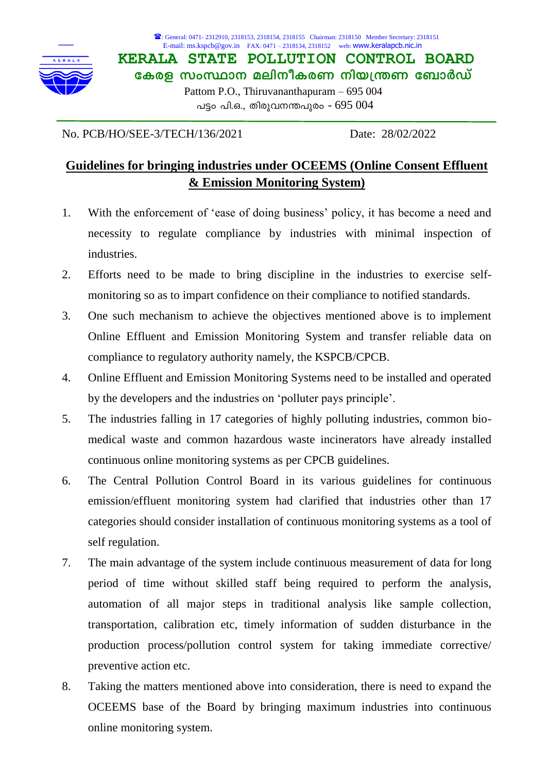

: General: 0471- 2312910, 2318153, 2318154, 2318155 Chairman: 2318150 Member Secretary: 2318151 E-mail: ms.kspcb@gov.in FAX: 0471 – 2318134, 2318152 web: www.keralapcb.nic.in

**KERALA STATE POLLUTION CONTROL BOARD കേരള സംസ്ഥാന മലിനീകരണ നിയന്ത്രണ ബോർഡ്**  Pattom P.O., Thiruvananthapuram – 695 004 പട്ടം പി.ഒ., തിരുവനന്തപുരം -  $695\ 004$ 

No. PCB/HO/SEE-3/TECH/136/2021 Date: 28/02/2022

## **Guidelines for bringing industries under OCEEMS (Online Consent Effluent & Emission Monitoring System)**

- 1. With the enforcement of 'ease of doing business' policy, it has become a need and necessity to regulate compliance by industries with minimal inspection of industries.
- 2. Efforts need to be made to bring discipline in the industries to exercise selfmonitoring so as to impart confidence on their compliance to notified standards.
- 3. One such mechanism to achieve the objectives mentioned above is to implement Online Effluent and Emission Monitoring System and transfer reliable data on compliance to regulatory authority namely, the KSPCB/CPCB.
- 4. Online Effluent and Emission Monitoring Systems need to be installed and operated by the developers and the industries on 'polluter pays principle'.
- 5. The industries falling in 17 categories of highly polluting industries, common biomedical waste and common hazardous waste incinerators have already installed continuous online monitoring systems as per CPCB guidelines.
- 6. The Central Pollution Control Board in its various guidelines for continuous emission/effluent monitoring system had clarified that industries other than 17 categories should consider installation of continuous monitoring systems as a tool of self regulation.
- 7. The main advantage of the system include continuous measurement of data for long period of time without skilled staff being required to perform the analysis, automation of all major steps in traditional analysis like sample collection, transportation, calibration etc, timely information of sudden disturbance in the production process/pollution control system for taking immediate corrective/ preventive action etc.
- 8. Taking the matters mentioned above into consideration, there is need to expand the OCEEMS base of the Board by bringing maximum industries into continuous online monitoring system.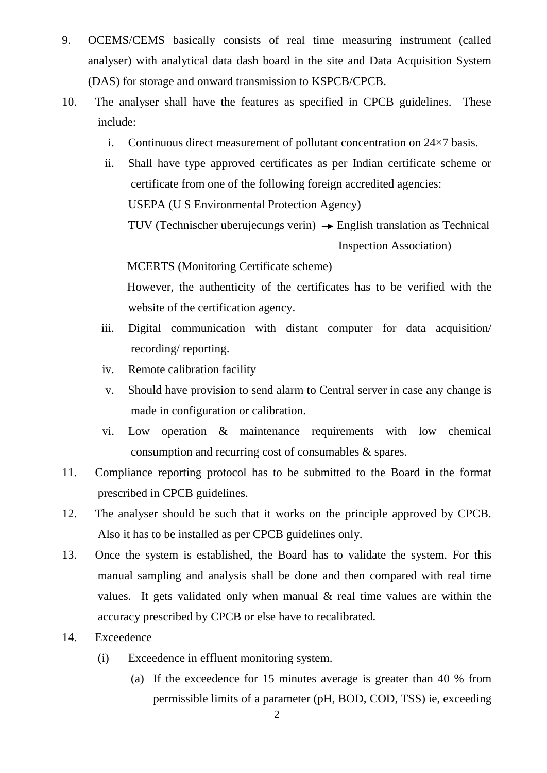- 9. OCEMS/CEMS basically consists of real time measuring instrument (called analyser) with analytical data dash board in the site and Data Acquisition System (DAS) for storage and onward transmission to KSPCB/CPCB.
- 10. The analyser shall have the features as specified in CPCB guidelines. These include:
	- i. Continuous direct measurement of pollutant concentration on 24×7 basis.
	- ii. Shall have type approved certificates as per Indian certificate scheme or certificate from one of the following foreign accredited agencies: USEPA (U S Environmental Protection Agency)

TUV (Technischer uberujecungs verin)  $\rightarrow$  English translation as Technical Inspection Association)

MCERTS (Monitoring Certificate scheme)

However, the authenticity of the certificates has to be verified with the website of the certification agency.

- iii. Digital communication with distant computer for data acquisition/ recording/ reporting.
- iv. Remote calibration facility
- v. Should have provision to send alarm to Central server in case any change is made in configuration or calibration.
- vi. Low operation & maintenance requirements with low chemical consumption and recurring cost of consumables & spares.
- 11. Compliance reporting protocol has to be submitted to the Board in the format prescribed in CPCB guidelines.
- 12. The analyser should be such that it works on the principle approved by CPCB. Also it has to be installed as per CPCB guidelines only.
- 13. Once the system is established, the Board has to validate the system. For this manual sampling and analysis shall be done and then compared with real time values. It gets validated only when manual  $\&$  real time values are within the accuracy prescribed by CPCB or else have to recalibrated.
- 14. Exceedence
	- (i) Exceedence in effluent monitoring system.
		- (a) If the exceedence for 15 minutes average is greater than 40 % from permissible limits of a parameter (pH, BOD, COD, TSS) ie, exceeding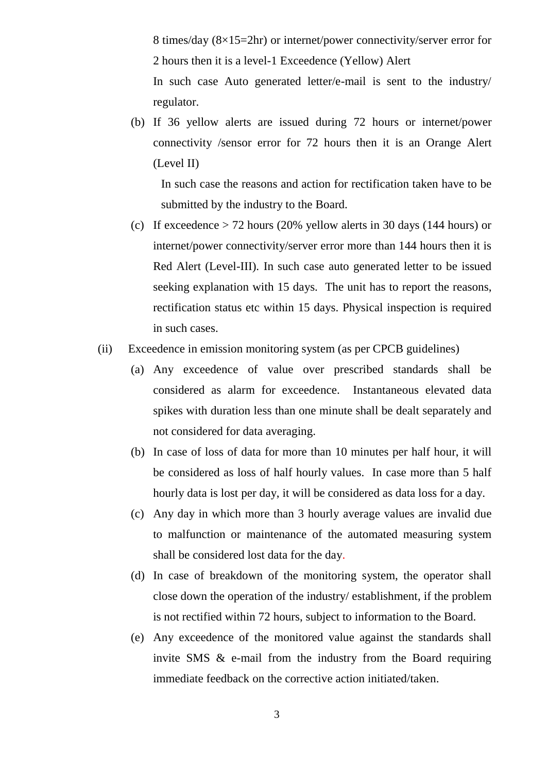8 times/day (8×15=2hr) or internet/power connectivity/server error for 2 hours then it is a level-1 Exceedence (Yellow) Alert

In such case Auto generated letter/e-mail is sent to the industry/ regulator.

(b) If 36 yellow alerts are issued during 72 hours or internet/power connectivity /sensor error for 72 hours then it is an Orange Alert (Level II)

In such case the reasons and action for rectification taken have to be submitted by the industry to the Board.

- (c) If exceedence  $> 72$  hours (20% yellow alerts in 30 days (144 hours) or internet/power connectivity/server error more than 144 hours then it is Red Alert (Level-III). In such case auto generated letter to be issued seeking explanation with 15 days. The unit has to report the reasons, rectification status etc within 15 days. Physical inspection is required in such cases.
- (ii) Exceedence in emission monitoring system (as per CPCB guidelines)
	- (a) Any exceedence of value over prescribed standards shall be considered as alarm for exceedence. Instantaneous elevated data spikes with duration less than one minute shall be dealt separately and not considered for data averaging.
	- (b) In case of loss of data for more than 10 minutes per half hour, it will be considered as loss of half hourly values. In case more than 5 half hourly data is lost per day, it will be considered as data loss for a day.
	- (c) Any day in which more than 3 hourly average values are invalid due to malfunction or maintenance of the automated measuring system shall be considered lost data for the day.
	- (d) In case of breakdown of the monitoring system, the operator shall close down the operation of the industry/ establishment, if the problem is not rectified within 72 hours, subject to information to the Board.
	- (e) Any exceedence of the monitored value against the standards shall invite SMS & e-mail from the industry from the Board requiring immediate feedback on the corrective action initiated/taken.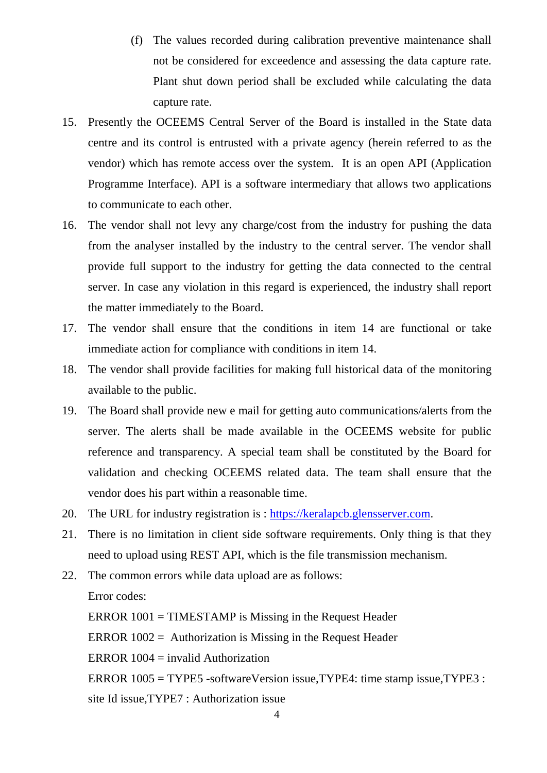- (f) The values recorded during calibration preventive maintenance shall not be considered for exceedence and assessing the data capture rate. Plant shut down period shall be excluded while calculating the data capture rate.
- 15. Presently the OCEEMS Central Server of the Board is installed in the State data centre and its control is entrusted with a private agency (herein referred to as the vendor) which has remote access over the system. It is an open API (Application Programme Interface). API is a software intermediary that allows two applications to communicate to each other.
- 16. The vendor shall not levy any charge/cost from the industry for pushing the data from the analyser installed by the industry to the central server. The vendor shall provide full support to the industry for getting the data connected to the central server. In case any violation in this regard is experienced, the industry shall report the matter immediately to the Board.
- 17. The vendor shall ensure that the conditions in item 14 are functional or take immediate action for compliance with conditions in item 14.
- 18. The vendor shall provide facilities for making full historical data of the monitoring available to the public.
- 19. The Board shall provide new e mail for getting auto communications/alerts from the server. The alerts shall be made available in the OCEEMS website for public reference and transparency. A special team shall be constituted by the Board for validation and checking OCEEMS related data. The team shall ensure that the vendor does his part within a reasonable time.
- 20. The URL for industry registration is : [https://keralapcb.glensserver.com.](https://keralapcb.glensserver.com/)
- 21. There is no limitation in client side software requirements. Only thing is that they need to upload using REST API, which is the file transmission mechanism.
- 22. The common errors while data upload are as follows: Error codes: ERROR 1001 = TIMESTAMP is Missing in the Request Header ERROR 1002 = Authorization is Missing in the Request Header ERROR  $1004 = \text{invalid}$  Authorization
	- ERROR 1005 = TYPE5 -softwareVersion issue,TYPE4: time stamp issue,TYPE3 :

site Id issue,TYPE7 : Authorization issue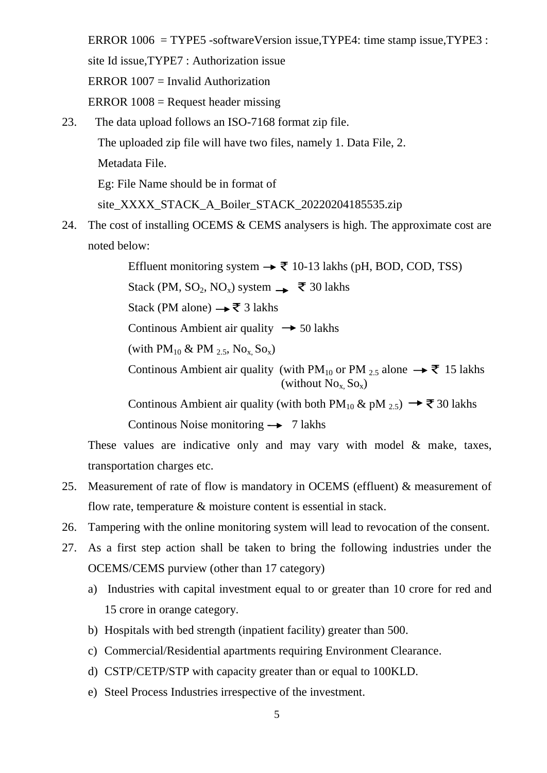ERROR 1006 = TYPE5 -softwareVersion issue,TYPE4: time stamp issue,TYPE3 : site Id issue,TYPE7 : Authorization issue ERROR 1007 = Invalid Authorization ERROR  $1008$  = Request header missing

23. The data upload follows an ISO-7168 format zip file.

The uploaded zip file will have two files, namely 1. Data File, 2.

Metadata File.

Eg: File Name should be in format of

site\_XXXX\_STACK\_A\_Boiler\_STACK\_20220204185535.zip

24. The cost of installing OCEMS & CEMS analysers is high. The approximate cost are noted below:

> Effluent monitoring system  $\rightarrow \overline{\mathfrak{F}}$  10-13 lakhs (pH, BOD, COD, TSS) Stack (PM, SO<sub>2</sub>, NO<sub>x</sub>) system  $\rightarrow \overline{\xi}$  30 lakhs Stack (PM alone) → ₹ 3 lakhs Continous Ambient air quality  $\rightarrow$  50 lakhs (with  $PM_{10}$  & PM  $_{2.5}$ , No<sub>x</sub>, So<sub>x</sub>) Continous Ambient air quality (with PM<sub>10</sub> or PM <sub>2.5</sub> alone  $\rightarrow \overline{\mathfrak{T}}$  15 lakhs (without  $No<sub>x</sub> So<sub>x</sub>$ ) Continous Ambient air quality (with both PM<sub>10</sub> & pM <sub>2.5</sub>)  $\rightarrow \bar{z}$  30 lakhs

Continous Noise monitoring  $\rightarrow$  7 lakhs

These values are indicative only and may vary with model & make, taxes, transportation charges etc.

- 25. Measurement of rate of flow is mandatory in OCEMS (effluent) & measurement of flow rate, temperature & moisture content is essential in stack.
- 26. Tampering with the online monitoring system will lead to revocation of the consent.
- 27. As a first step action shall be taken to bring the following industries under the OCEMS/CEMS purview (other than 17 category)
	- a) Industries with capital investment equal to or greater than 10 crore for red and 15 crore in orange category.
	- b) Hospitals with bed strength (inpatient facility) greater than 500.
	- c) Commercial/Residential apartments requiring Environment Clearance.
	- d) CSTP/CETP/STP with capacity greater than or equal to 100KLD.
	- e) Steel Process Industries irrespective of the investment.